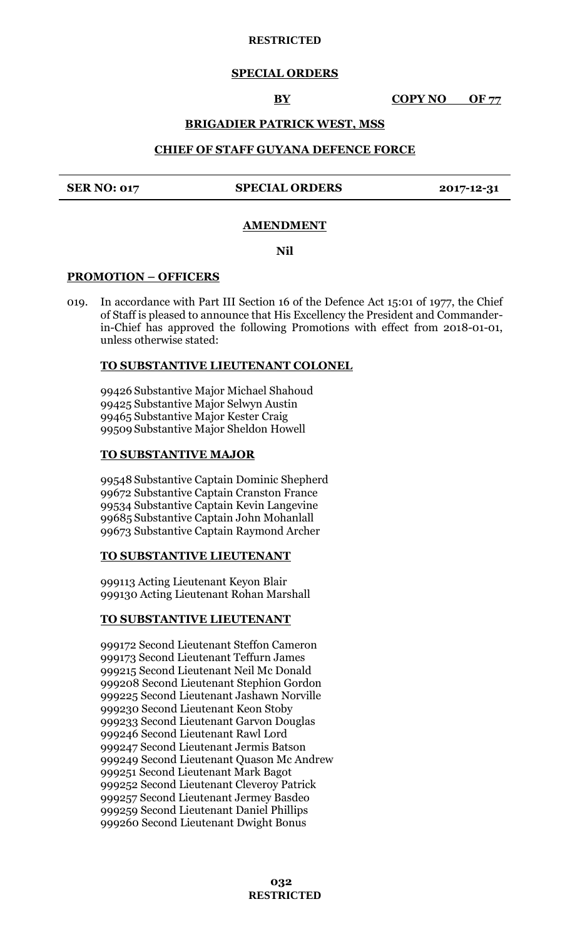#### **RESTRICTED**

## **SPECIAL ORDERS**

**BY COPY NO OF 77** 

## **BRIGADIER PATRICK WEST, MSS**

## **CHIEF OF STAFF GUYANA DEFENCE FORCE**

#### **SER NO: 017 SPECIAL ORDERS 2017-12-31**

#### **AMENDMENT**

**Nil**

#### **PROMOTION – OFFICERS**

019. In accordance with Part III Section 16 of the Defence Act 15:01 of 1977, the Chief of Staff is pleased to announce that His Excellency the President and Commanderin-Chief has approved the following Promotions with effect from 2018-01-01, unless otherwise stated:

#### **TO SUBSTANTIVE LIEUTENANT COLONEL**

 Substantive Major Michael Shahoud Substantive Major Selwyn Austin Substantive Major Kester Craig Substantive Major Sheldon Howell

#### **TO SUBSTANTIVE MAJOR**

 Substantive Captain Dominic Shepherd Substantive Captain Cranston France Substantive Captain Kevin Langevine Substantive Captain John Mohanlall Substantive Captain Raymond Archer

#### **TO SUBSTANTIVE LIEUTENANT**

999113 Acting Lieutenant Keyon Blair 999130 Acting Lieutenant Rohan Marshall

#### **TO SUBSTANTIVE LIEUTENANT**

999172 Second Lieutenant Steffon Cameron 999173 Second Lieutenant Teffurn James 999215 Second Lieutenant Neil Mc Donald 999208 Second Lieutenant Stephion Gordon 999225 Second Lieutenant Jashawn Norville 999230 Second Lieutenant Keon Stoby 999233 Second Lieutenant Garvon Douglas 999246 Second Lieutenant Rawl Lord 999247 Second Lieutenant Jermis Batson 999249 Second Lieutenant Quason Mc Andrew 999251 Second Lieutenant Mark Bagot 999252 Second Lieutenant Cleveroy Patrick 999257 Second Lieutenant Jermey Basdeo 999259 Second Lieutenant Daniel Phillips 999260 Second Lieutenant Dwight Bonus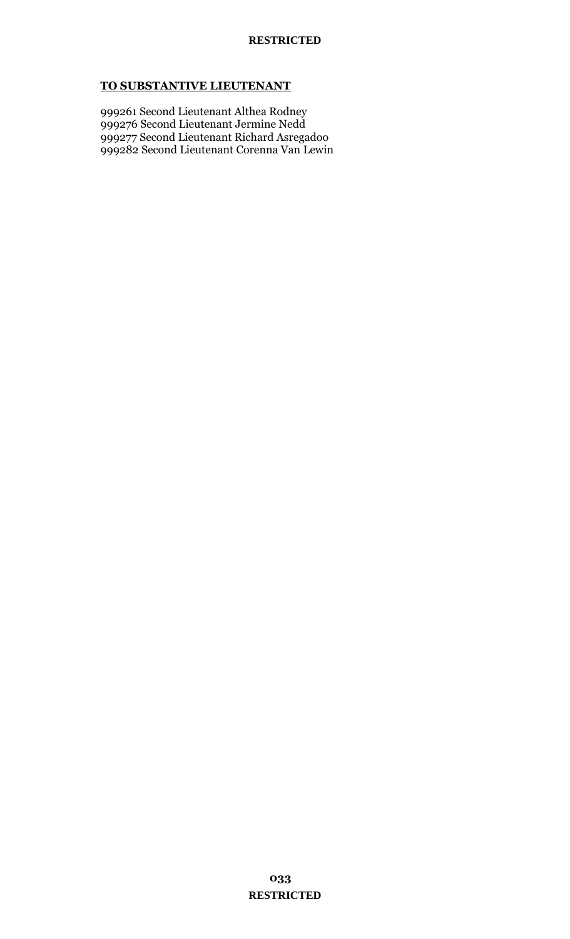## **TO SUBSTANTIVE LIEUTENANT**

999261 Second Lieutenant Althea Rodney 999276 Second Lieutenant Jermine Nedd 999277 Second Lieutenant Richard Asregadoo 999282 Second Lieutenant Corenna Van Lewin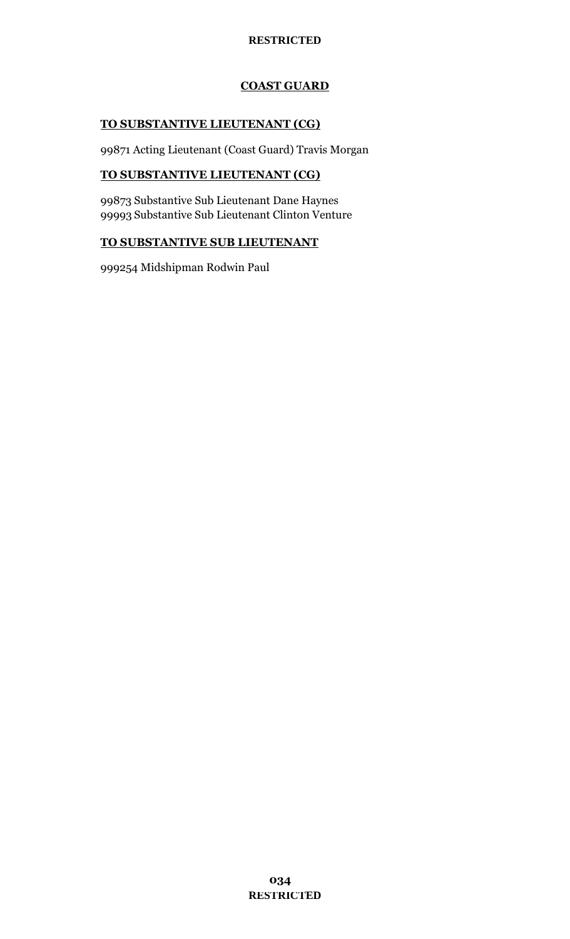## **RESTRICTED**

# **COAST GUARD**

# **TO SUBSTANTIVE LIEUTENANT (CG)**

99871 Acting Lieutenant (Coast Guard) Travis Morgan

# **TO SUBSTANTIVE LIEUTENANT (CG)**

99873 Substantive Sub Lieutenant Dane Haynes 99993 Substantive Sub Lieutenant Clinton Venture

## **TO SUBSTANTIVE SUB LIEUTENANT**

999254 Midshipman Rodwin Paul